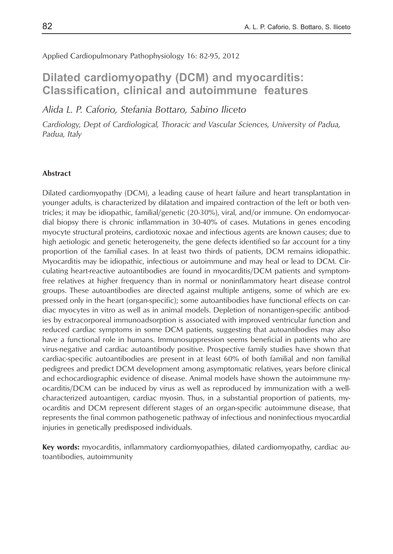Applied Cardiopulmonary Pathophysiology 16: 82-95, 2012

# **Dilated cardiomyopathy (DCM) and myocarditis: Classification, clinical and autoimmune features**

*Alida L. P. Caforio, Stefania Bottaro, Sabino Iliceto*

*Cardiology, Dept of Cardiological, Thoracic and Vascular Sciences, University of Padua, Padua, Italy*

#### **Abstract**

Dilated cardiomyopathy (DCM), a leading cause of heart failure and heart transplantation in younger adults, is characterized by dilatation and impaired contraction of the left or both ventricles; it may be idiopathic, familial/genetic (20-30%), viral, and/or immune. On endomyocardial biopsy there is chronic inflammation in 30-40% of cases. Mutations in genes encoding myo cyte structural proteins, cardiotoxic noxae and infectious agents are known causes; due to high aetiologic and genetic heterogeneity, the gene defects identified so far account for a tiny proportion of the familial cases. In at least two thirds of patients, DCM remains idiopathic. Myocarditis may be idiopathic, infectious or autoimmune and may heal or lead to DCM. Circulating heart-reactive autoantibodies are found in myocarditis/DCM patients and symptomfree relatives at higher frequency than in normal or noninflammatory heart disease control groups. These autoantibodies are directed against multiple antigens, some of which are expressed only in the heart (organ-specific); some autoantibodies have functional effects on cardiac myocytes in vitro as well as in animal models. Depletion of nonantigen-specific antibodies by extracorporeal immunoadsorption is associated with improved ventricular function and reduced cardiac symptoms in some DCM patients, suggesting that autoantibodies may also have a functional role in humans. Immunosuppression seems beneficial in patients who are virus-negative and cardiac autoantibody positive. Prospective family studies have shown that cardiac-specific autoantibodies are present in at least 60% of both familial and non familial pedigrees and predict DCM development among asymptomatic relatives, years before clinical and echocardiographic evidence of disease. Animal models have shown the autoimmune myocarditis/DCM can be induced by virus as well as reproduced by immunization with a wellcharacterized autoantigen, cardiac myosin. Thus, in a substantial proportion of patients, myocarditis and DCM represent different stages of an organ-specific autoimmune disease, that represents the final common pathogenetic pathway of infectious and noninfectious myocardial injuries in genetically predisposed individuals.

**Key words:** myocarditis, inflammatory cardiomyopathies, dilated cardiomyopathy, cardiac autoantibodies, autoimmunity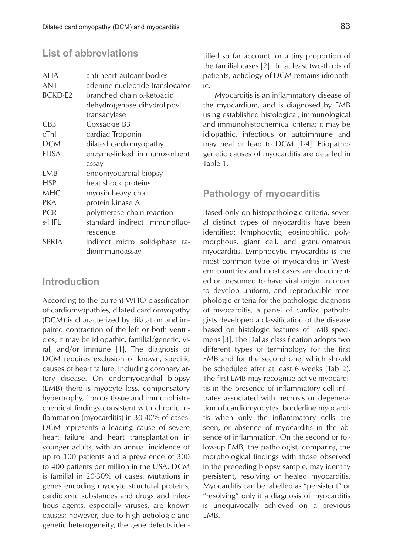## **List of abbreviations**

| <b>AHA</b>      | anti-heart autoantibodies         |  |
|-----------------|-----------------------------------|--|
| ANT             | adenine nucleotide translocator   |  |
| BCKD-E2         | branched chain $\alpha$ -ketoacid |  |
|                 | dehydrogenase dihydrolipoyl       |  |
|                 | transacylase                      |  |
| CB <sub>3</sub> | Coxsackie B3                      |  |
| cTnI            | cardiac Troponin I                |  |
| DCM             | dilated cardiomyopathy            |  |
| <b>ELISA</b>    | enzyme-linked immunosorbent       |  |
|                 | assay                             |  |
| EMB             | endomyocardial biopsy             |  |
| HSP             | heat shock proteins               |  |
| MHC             | myosin heavy chain                |  |
| PKA             | protein kinase A                  |  |
| <b>PCR</b>      | polymerase chain reaction         |  |
| s-I IFL         | standard indirect immunofluo-     |  |
|                 | rescence                          |  |
| SPRIA           | indirect micro solid-phase<br>ra- |  |
|                 | dioimmunoassay                    |  |

### **Introduction**

According to the current WHO classification of cardiomyopathies, dilated cardiomyopathy (DCM) is characterized by dilatation and impaired contraction of the left or both ventricles; it may be idiopathic, familial/genetic, viral, and/or immune [1]. The diagnosis of DCM requires exclusion of known, specific causes of heart failure, including coronary artery disease. On endomyocardial biopsy (EMB) there is myocyte loss, compensatory hypertrophy, fibrous tissue and immunohistochemical findings consistent with chronic inflammation (myocarditis) in 30-40% of cases. DCM represents a leading cause of severe heart failure and heart transplantation in younger adults, with an annual incidence of up to 100 patients and a prevalence of 300 to 400 patients per million in the USA. DCM is familial in 20-30% of cases. Mutations in genes encoding myocyte structural proteins, cardiotoxic substances and drugs and infectious agents, especially viruses, are known causes; however, due to high aetiologic and genetic heterogeneity, the gene defects identified so far account for a tiny proportion of the familial cases [2]. In at least two-thirds of patients, aetiology of DCM remains idiopathic.

Myocarditis is an inflammatory disease of the myocardium, and is diagnosed by EMB using established histological, immunological and immunohistochemical criteria; it may be idiopathic, infectious or autoimmune and may heal or lead to DCM [1-4]. Etiopathogenetic causes of myocarditis are detailed in Table 1.

### **Pathology of myocarditis**

Based only on histopathologic criteria, several distinct types of myocarditis have been identified: lymphocytic, eosinophilic, polymorphous, giant cell, and granulomatous myocarditis. Lymphocytic myocarditis is the most common type of myocarditis in Western countries and most cases are documented or presumed to have viral origin. In order to develop uniform, and reproducible morphologic criteria for the pathologic diagnosis of myocarditis, a panel of cardiac pathologists developed a classification of the disease based on histologic features of EMB specimens [3]. The Dallas classification adopts two different types of terminology for the first EMB and for the second one, which should be scheduled after at least 6 weeks (Tab 2). The first EMB may recognise active myocarditis in the presence of inflammatory cell infiltrates associated with necrosis or degeneration of cardiomyocytes, borderline myocarditis when only the inflammatory cells are seen, or absence of myocarditis in the absence of inflammation. On the second or follow-up EMB, the pathologist, comparing the morphological findings with those observed in the preceding biopsy sample, may identify persistent, resolving or healed myocarditis. Myocarditis can be labelled as "persistent" or "resolving" only if a diagnosis of myocarditis is unequivocally achieved on a previous EMB.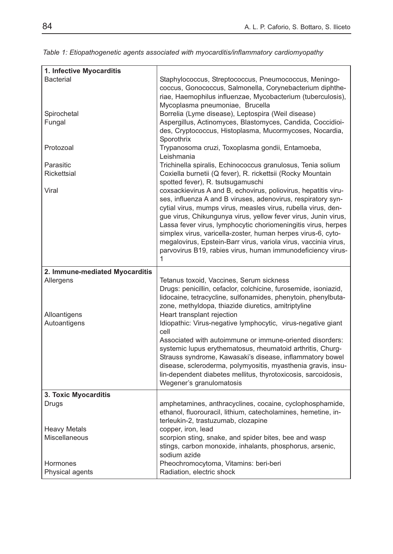| 1. Infective Myocarditis       |                                                                                                                                 |
|--------------------------------|---------------------------------------------------------------------------------------------------------------------------------|
| <b>Bacterial</b>               | Staphylococcus, Streptococcus, Pneumococcus, Meningo-                                                                           |
|                                | coccus, Gonococcus, Salmonella, Corynebacterium diphthe-<br>riae, Haemophilus influenzae, Mycobacterium (tuberculosis),         |
|                                | Mycoplasma pneumoniae, Brucella                                                                                                 |
| Spirochetal                    | Borrelia (Lyme disease), Leptospira (Weil disease)                                                                              |
| Fungal                         | Aspergillus, Actinomyces, Blastomyces, Candida, Coccidioi-                                                                      |
|                                | des, Cryptococcus, Histoplasma, Mucormycoses, Nocardia,                                                                         |
|                                | Sporothrix                                                                                                                      |
| Protozoal                      | Trypanosoma cruzi, Toxoplasma gondii, Entamoeba,<br>Leishmania                                                                  |
| Parasitic                      | Trichinella spiralis, Echinococcus granulosus, Tenia solium                                                                     |
| Rickettsial                    | Coxiella burnetii (Q fever), R. rickettsii (Rocky Mountain<br>spotted fever), R. tsutsugamuschi                                 |
| Viral                          | coxsackievirus A and B, echovirus, poliovirus, hepatitis viru-                                                                  |
|                                | ses, influenza A and B viruses, adenovirus, respiratory syn-                                                                    |
|                                | cytial virus, mumps virus, measles virus, rubella virus, den-                                                                   |
|                                | gue virus, Chikungunya virus, yellow fever virus, Junin virus,                                                                  |
|                                | Lassa fever virus, lymphocytic choriomeningitis virus, herpes                                                                   |
|                                | simplex virus, varicella-zoster, human herpes virus-6, cyto-<br>megalovirus, Epstein-Barr virus, variola virus, vaccinia virus, |
|                                | parvovirus B19, rabies virus, human immunodeficiency virus-                                                                     |
|                                | 1                                                                                                                               |
| 2. Immune-mediated Myocarditis |                                                                                                                                 |
| Allergens                      | Tetanus toxoid, Vaccines, Serum sickness                                                                                        |
|                                | Drugs: penicillin, cefaclor, colchicine, furosemide, isoniazid,                                                                 |
|                                | lidocaine, tetracycline, sulfonamides, phenytoin, phenylbuta-                                                                   |
|                                | zone, methyldopa, thiazide diuretics, amitriptyline                                                                             |
| Alloantigens                   | Heart transplant rejection                                                                                                      |
| Autoantigens                   | Idiopathic: Virus-negative lymphocytic, virus-negative giant<br>cell                                                            |
|                                | Associated with autoimmune or immune-oriented disorders:                                                                        |
|                                | systemic lupus erythematosus, rheumatoid arthritis, Churg-                                                                      |
|                                | Strauss syndrome, Kawasaki's disease, inflammatory bowel                                                                        |
|                                | disease, scleroderma, polymyositis, myasthenia gravis, insu-                                                                    |
|                                | lin-dependent diabetes mellitus, thyrotoxicosis, sarcoidosis,                                                                   |
|                                | Wegener's granulomatosis                                                                                                        |
| 3. Toxic Myocarditis           |                                                                                                                                 |
| Drugs                          | amphetamines, anthracyclines, cocaine, cyclophosphamide,                                                                        |
|                                | ethanol, fluorouracil, lithium, catecholamines, hemetine, in-                                                                   |
| <b>Heavy Metals</b>            | terleukin-2, trastuzumab, clozapine<br>copper, iron, lead                                                                       |
| Miscellaneous                  | scorpion sting, snake, and spider bites, bee and wasp                                                                           |
|                                | stings, carbon monoxide, inhalants, phosphorus, arsenic,                                                                        |
|                                | sodium azide                                                                                                                    |
| Hormones                       | Pheochromocytoma, Vitamins: beri-beri                                                                                           |
| Physical agents                | Radiation, electric shock                                                                                                       |

*Table 1: Etiopathogenetic agents associated with myocarditis/inflammatory cardiomyopathy*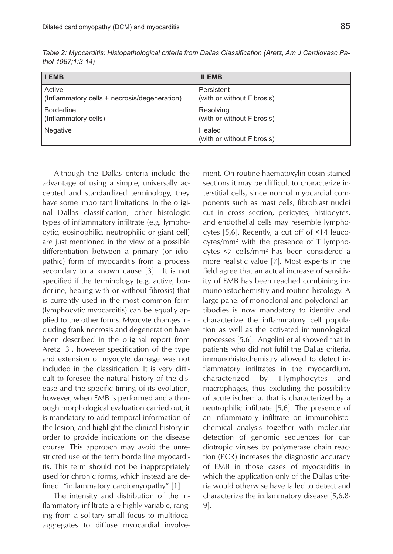| <b>I EMB</b>                                 | <b>II EMB</b>                        |
|----------------------------------------------|--------------------------------------|
| Active                                       | Persistent                           |
| (Inflammatory cells + necrosis/degeneration) | (with or without Fibrosis)           |
| <b>Borderline</b>                            | Resolving                            |
| (Inflammatory cells)                         | (with or without Fibrosis)           |
| <b>Negative</b>                              | Healed<br>(with or without Fibrosis) |

*Table 2: Myocarditis: Histopathological criteria from Dallas Classification (Aretz, Am J Cardiovasc Pathol 1987;1:3-14)*

Although the Dallas criteria include the advantage of using a simple, universally accepted and standardized terminology, they have some important limitations. In the original Dallas classification, other histologic types of inflammatory infiltrate (e.g. lymphocytic, eosinophilic, neutrophilic or giant cell) are just mentioned in the view of a possible differentiation between a primary (or idiopathic) form of myocarditis from a process secondary to a known cause [3]. It is not specified if the terminology (e.g. active, borderline, healing with or without fibrosis) that is currently used in the most common form (lymphocytic myocarditis) can be equally applied to the other forms. Myocyte changes including frank necrosis and degeneration have been described in the original report from Aretz [3], however specification of the type and extension of myocyte damage was not included in the classification. It is very difficult to foresee the natural history of the disease and the specific timing of its evolution, however, when EMB is performed and a thorough morphological evaluation carried out, it is mandatory to add temporal information of the lesion, and highlight the clinical history in order to provide indications on the disease course. This approach may avoid the unrestricted use of the term borderline myocarditis. This term should not be inappropriately used for chronic forms, which instead are defined "inflammatory cardiomyopathy" [1].

The intensity and distribution of the inflammatory infiltrate are highly variable, ranging from a solitary small focus to multifocal aggregates to diffuse myocardial involvement. On routine haematoxylin eosin stained sections it may be difficult to characterize interstitial cells, since normal myocardial components such as mast cells, fibroblast nuclei cut in cross section, pericytes, histiocytes, and endothelial cells may resemble lymphocytes [5,6]. Recently, a cut off of <14 leucocytes/mm2 with the presence of T lymphocytes <7 cells/mm2 has been considered a more realistic value [7]. Most experts in the field agree that an actual increase of sensitivity of EMB has been reached combining immunohistochemistry and routine histology. A large panel of monoclonal and polyclonal antibodies is now mandatory to identify and characterize the inflammatory cell population as well as the activated immunological processes [5,6]. Angelini et al showed that in patients who did not fulfil the Dallas criteria, immunohistochemistry allowed to detect inflammatory infiltrates in the myocardium, characterized by T-lymphocytes and macrophages, thus excluding the possibility of acute ischemia, that is characterized by a neutrophilic infiltrate [5,6]. The presence of an inflammatory infiltrate on immunohistochemical analysis together with molecular detection of genomic sequences for cardiotropic viruses by polymerase chain reaction (PCR) increases the diagnostic accuracy of EMB in those cases of myocarditis in which the application only of the Dallas criteria would otherwise have failed to detect and characterize the inflammatory disease [5,6,8- 9].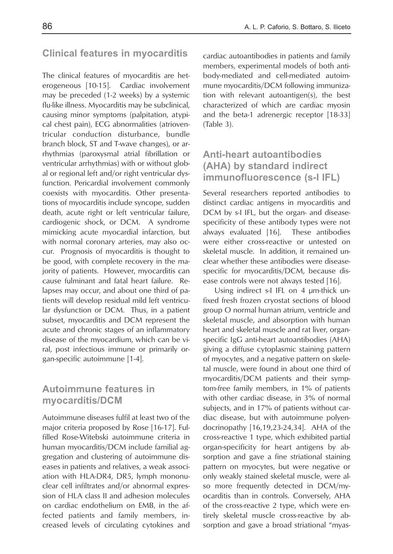### **Clinical features in myocarditis**

The clinical features of myocarditis are heterogeneous [10-15]. Cardiac involvement may be preceded (1-2 weeks) by a systemic flu-like illness. Myocarditis may be subclinical, causing minor symptoms (palpitation, atypical chest pain), ECG abnormalities (atrioventricular conduction disturbance, bundle branch block, ST and T-wave changes), or arrhythmias (paroxysmal atrial fibrillation or ventricular arrhythmias) with or without global or regional left and/or right ventricular dysfunction. Pericardial involvement commonly coexists with myocarditis. Other presentations of myocarditis include syncope, sudden death, acute right or left ventricular failure, cardiogenic shock, or DCM. A syndrome mimicking acute myocardial infarction, but with normal coronary arteries, may also occur. Prognosis of myocarditis is thought to be good, with complete recovery in the majority of patients. However, myocarditis can cause fulminant and fatal heart failure. Relapses may occur, and about one third of patients will develop residual mild left ventricular dysfunction or DCM. Thus, in a patient subset, myocarditis and DCM represent the acute and chronic stages of an inflammatory disease of the myocardium, which can be viral, post infectious immune or primarily organ-specific autoimmune [1-4].

## **Autoimmune features in myocarditis/DCM**

Autoimmune diseases fulfil at least two of the major criteria proposed by Rose [16-17]. Fulfilled Rose-Witebski autoimmune criteria in human myocarditis/DCM include familial aggregation and clustering of autoimmune diseases in patients and relatives, a weak association with HLA-DR4, DR5, lymph mononuclear cell infiltrates and/or abnormal expression of HLA class II and adhesion molecules on cardiac endothelium on EMB, in the affected patients and family members, increased levels of circulating cytokines and cardiac autoantibodies in patients and family members, experimental models of both antibody-mediated and cell-mediated autoimmune myocarditis/DCM following immunization with relevant autoantigen(s), the best characterized of which are cardiac myosin and the beta-1 adrenergic receptor [18-33] (Table 3).

## **Anti-heart autoantibodies (AHA) by standard indirect immunofluorescence (s-I IFL)**

Several researchers reported antibodies to distinct cardiac antigens in myocarditis and DCM by s-I IFL, but the organ- and diseasespecificity of these antibody types were not always evaluated [16]. These antibodies were either cross-reactive or untested on skeletal muscle. In addition, it remained unclear whether these antibodies were diseasespecific for myocarditis/DCM, because disease controls were not always tested [16].

Using indirect s-I IFL on 4 µm-thick unfixed fresh frozen cryostat sections of blood group O normal human atrium, ventricle and skeletal muscle, and absorption with human heart and skeletal muscle and rat liver, organspecific IgG anti-heart autoantibodies (AHA) giving a diffuse cytoplasmic staining pattern of myocytes, and a negative pattern on skeletal muscle, were found in about one third of myocarditis/DCM patients and their symptom-free family members, in 1% of patients with other cardiac disease, in 3% of normal subjects, and in 17% of patients without cardiac disease, but with autoimmune polyendocrinopathy [16,19,23-24,34]. AHA of the cross-reactive 1 type, which exhibited partial organ-specificity for heart antigens by absorption and gave a fine striational staining pattern on myocytes, but were negative or only weakly stained skeletal muscle, were also more frequently detected in DCM/myocarditis than in controls. Conversely, AHA of the cross-reactive 2 type, which were entirely skeletal muscle cross-reactive by absorption and gave a broad striational "myas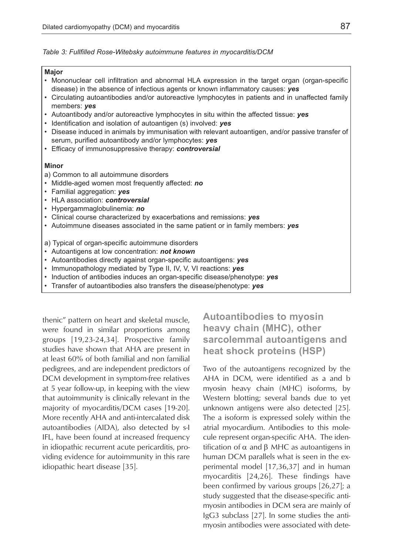*Table 3: Fullfilled Rose-Witebsky autoimmune features in myocarditis/DCM*

#### **Major**

- Mononuclear cell infiltration and abnormal HLA expression in the target organ (organ-specific disease) in the absence of infectious agents or known inflammatory causes: *yes*
- Circulating autoantibodies and/or autoreactive lymphocytes in patients and in unaffected family members: *yes*
- Autoantibody and/or autoreactive lymphocytes in situ within the affected tissue: *yes*
- Identification and isolation of autoantigen (s) involved: *yes*
- Disease induced in animals by immunisation with relevant autoantigen, and/or passive transfer of serum, purified autoantibody and/or lymphocytes: *yes*
- Efficacy of immunosuppressive therapy: *controversial*

#### **Minor**

- a) Common to all autoimmune disorders
- Middle-aged women most frequently affected: *no*
- Familial aggregation: *yes*
- HLA association: *controversial*
- Hypergammaglobulinemia: *no*
- Clinical course characterized by exacerbations and remissions: *yes*
- Autoimmune diseases associated in the same patient or in family members: *yes*

#### a) Typical of organ-specific autoimmune disorders

- Autoantigens at low concentration: *not known*
- Autoantibodies directly against organ-specific autoantigens: *yes*
- Immunopathology mediated by Type II, IV, V, VI reactions: *yes*
- Induction of antibodies induces an organ-specific disease/phenotype: *yes*
- Transfer of autoantibodies also transfers the disease/phenotype: *yes*

thenic" pattern on heart and skeletal muscle, were found in similar proportions among groups [19,23-24,34]. Prospective family studies have shown that AHA are present in at least 60% of both familial and non familial pedigrees, and are independent predictors of DCM development in symptom-free relatives at 5 year follow-up, in keeping with the view that autoimmunity is clinically relevant in the majority of myocarditis/DCM cases [19-20]. More recently AHA and anti-intercalated disk autoantibodies (AIDA), also detected by s-I IFL, have been found at increased frequency in idiopathic recurrent acute pericarditis, providing evidence for autoimmunity in this rare idiopathic heart disease [35].

**Autoantibodies to myosin heavy chain (MHC), other sarcolemmal autoantigens and heat shock proteins (HSP)**

Two of the autoantigens recognized by the AHA in DCM, were identified as a and b myosin heavy chain (MHC) isoforms, by Western blotting; several bands due to yet unknown antigens were also detected [25]. The a isoform is expressed solely within the atrial myocardium. Antibodies to this molecule represent organ-specific AHA. The identification of  $\alpha$  and  $\beta$  MHC as autoantigens in human DCM parallels what is seen in the experimental model [17,36,37] and in human myocarditis [24,26]. These findings have been confirmed by various groups [26,27]; a study suggested that the disease-specific antimyosin antibodies in DCM sera are mainly of IgG3 subclass [27]. In some studies the antimyosin antibodies were associated with dete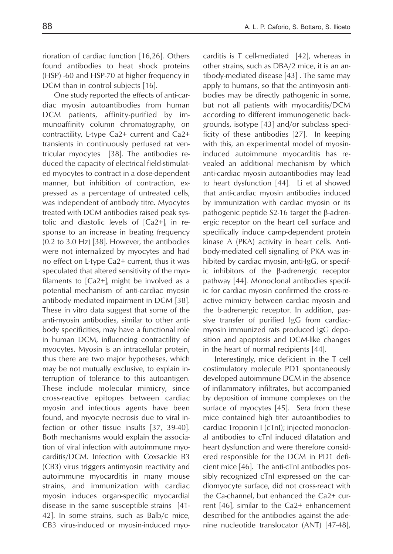rioration of cardiac function [16,26]. Others found antibodies to heat shock proteins (HSP) -60 and HSP-70 at higher frequency in DCM than in control subjects [16].

One study reported the effects of anti-cardiac myosin autoantibodies from human DCM patients, affinity-purified by immunoaffinity column chromatography, on contractility, L-type Ca2+ current and Ca2+ transients in continuously perfused rat ventricular myocytes [38]. The antibodies reduced the capacity of electrical field-stimulated myocytes to contract in a dose-dependent manner, but inhibition of contraction, expressed as a percentage of untreated cells, was independent of antibody titre. Myocytes treated with DCM antibodies raised peak systolic and diastolic levels of  $[Ca2+]$  in response to an increase in beating frequency (0.2 to 3.0 Hz) [38]. However, the antibodies were not internalized by myocytes and had no effect on L-type Ca2+ current, thus it was speculated that altered sensitivity of the myofilaments to  $[Ca2+]$  might be involved as a potential mechanism of anti-cardiac myosin antibody mediated impairment in DCM [38]. These in vitro data suggest that some of the anti-myosin antibodies, similar to other antibody specificities, may have a functional role in human DCM, influencing contractility of myocytes. Myosin is an intracellular protein, thus there are two major hypotheses, which may be not mutually exclusive, to explain interruption of tolerance to this autoantigen. These include molecular mimicry, since cross-reactive epitopes between cardiac myosin and infectious agents have been found, and myocyte necrosis due to viral infection or other tissue insults [37, 39-40]. Both mechanisms would explain the association of viral infection with autoimmune myocarditis/DCM. Infection with Coxsackie B3 (CB3) virus triggers antimyosin reactivity and autoimmune myocarditis in many mouse strains, and immunization with cardiac myosin induces organ-specific myocardial disease in the same susceptible strains [41- 42]. In some strains, such as Balb/c mice, CB3 virus-induced or myosin-induced myocarditis is T cell-mediated [42], whereas in other strains, such as DBA/2 mice, it is an antibody-mediated disease [43] . The same may apply to humans, so that the antimyosin antibodies may be directly pathogenic in some, but not all patients with myocarditis/DCM according to different immunogenetic backgrounds, isotype [43] and/or subclass specificity of these antibodies [27]. In keeping with this, an experimental model of myosininduced autoimmune myocarditis has revealed an additional mechanism by which anti-cardiac myosin autoantibodies may lead to heart dysfunction [44]. Li et al showed that anti-cardiac myosin antibodies induced by immunization with cardiac myosin or its pathogenic peptide S2-16 target the β-adrenergic receptor on the heart cell surface and specifically induce camp-dependent protein kinase A (PKA) activity in heart cells. Antibody-mediated cell signalling of PKA was inhibited by cardiac myosin, anti-IgG, or specific inhibitors of the β-adrenergic receptor pathway [44]. Monoclonal antibodies specific for cardiac myosin confirmed the cross-reactive mimicry between cardiac myosin and the b-adrenergic receptor. In addition, passive transfer of purified IgG from cardiacmyosin immunized rats produced IgG deposition and apoptosis and DCM-like changes in the heart of normal recipients [44].

Interestingly, mice deficient in the T cell costimulatory molecule PD1 spontaneously developed autoimmune DCM in the absence of inflammatory infiltrates, but accompanied by deposition of immune complexes on the surface of myocytes [45]. Sera from these mice contained high titer autoantibodies to cardiac Troponin I (cTnI); injected monoclonal antibodies to cTnI induced dilatation and heart dysfunction and were therefore considered responsible for the DCM in PD1 deficient mice [46]. The anti-cTnI antibodies possibly recognized cTnI expressed on the cardiomyocyte surface, did not cross-react with the Ca-channel, but enhanced the Ca2+ current [46], similar to the Ca2+ enhancement described for the antibodies against the adenine nucleotide translocator (ANT) [47-48],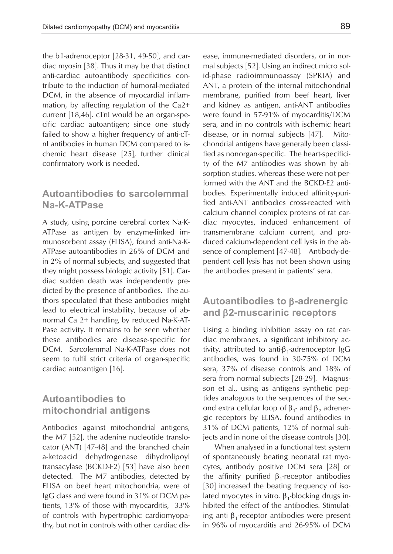the b1-adrenoceptor [28-31, 49-50], and cardiac myosin [38]. Thus it may be that distinct anti-cardiac autoantibody specificities contribute to the induction of humoral-mediated DCM, in the absence of myocardial inflammation, by affecting regulation of the Ca2+ current [18,46]. cTnI would be an organ-specific cardiac autoantigen; since one study failed to show a higher frequency of anti-cTnI antibodies in human DCM compared to ischemic heart disease [25], further clinical confirmatory work is needed.

## **Autoantibodies to sarcolemmal Na-K-ATPase**

A study, using porcine cerebral cortex Na-K-ATPase as antigen by enzyme-linked immunosorbent assay (ELISA), found anti-Na-K-ATPase autoantibodies in 26% of DCM and in 2% of normal subjects, and suggested that they might possess biologic activity [51]. Cardiac sudden death was independently predicted by the presence of antibodies. The authors speculated that these antibodies might lead to electrical instability, because of abnormal Ca 2+ handling by reduced Na-K-AT-Pase activity. It remains to be seen whether these antibodies are disease-specific for DCM. Sarcolemmal Na-K-ATPase does not seem to fulfil strict criteria of organ-specific cardiac autoantigen [16].

## **Autoantibodies to mitochondrial antigens**

Antibodies against mitochondrial antigens, the M7 [52], the adenine nucleotide translocator (ANT) [47-48] and the branched chain a-ketoacid dehydrogenase dihydrolipoyl transacylase (BCKD-E2) [53] have also been detected. The M7 antibodies, detected by ELISA on beef heart mitochondria, were of IgG class and were found in 31% of DCM patients, 13% of those with myocarditis, 33% of controls with hypertrophic cardiomyopathy, but not in controls with other cardiac disease, immune-mediated disorders, or in normal subjects [52]. Using an indirect micro solid-phase radioimmunoassay (SPRIA) and ANT, a protein of the internal mitochondrial membrane, purified from beef heart, liver and kidney as antigen, anti-ANT antibodies were found in 57-91% of myocarditis/DCM sera, and in no controls with ischemic heart disease, or in normal subjects [47]. Mitochondrial antigens have generally been classified as nonorgan-specific. The heart-specificity of the M7 antibodies was shown by absorption studies, whereas these were not performed with the ANT and the BCKD-E2 antibodies. Experimentally induced affinity-purified anti-ANT antibodies cross-reacted with calcium channel complex proteins of rat cardiac myocytes, induced enhancement of transmembrane calcium current, and produced calcium-dependent cell lysis in the absence of complement [47-48]. Antibody-dependent cell lysis has not been shown using the antibodies present in patients' sera.

### **Autoantibodies to** β**-adrenergic and** β**2-muscarinic receptors**

Using a binding inhibition assay on rat cardiac membranes, a significant inhibitory activity, attributed to anti- $\beta_1$ -adrenoceptor IgG antibodies, was found in 30-75% of DCM sera, 37% of disease controls and 18% of sera from normal subjects [28-29]. Magnusson et al., using as antigens synthetic peptides analogous to the sequences of the second extra cellular loop of  $β_1$ - and  $β_2$  adrenergic receptors by ELISA, found antibodies in 31% of DCM patients, 12% of normal subjects and in none of the disease controls [30].

When analysed in a functional test system of spontaneously beating neonatal rat myocytes, antibody positive DCM sera [28] or the affinity purified  $β_1$ -receptor antibodies [30] increased the beating frequency of isolated myocytes in vitro.  $β_1$ -blocking drugs inhibited the effect of the antibodies. Stimulating anti β<sub>1</sub>-receptor antibodies were present in 96% of myocarditis and 26-95% of DCM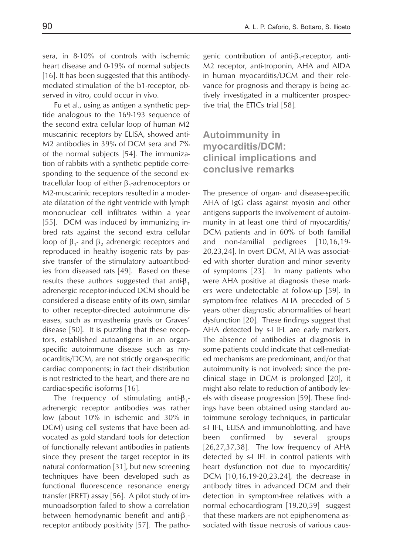sera, in 8-10% of controls with ischemic heart disease and 0-19% of normal subjects [16]. It has been suggested that this antibodymediated stimulation of the b1-receptor, observed in vitro, could occur in vivo.

Fu et al., using as antigen a synthetic peptide analogous to the 169-193 sequence of the second extra cellular loop of human M2 muscarinic receptors by ELISA, showed anti-M2 antibodies in 39% of DCM sera and 7% of the normal subjects [54]. The immunization of rabbits with a synthetic peptide corresponding to the sequence of the second extracellular loop of either β<sub>1</sub>-adrenoceptors or M2-muscarinic receptors resulted in a moderate dilatation of the right ventricle with lymph mononuclear cell infiltrates within a year [55]. DCM was induced by immunizing inbred rats against the second extra cellular loop of  $β_1$ - and  $β_2$  adrenergic receptors and reproduced in healthy isogenic rats by passive transfer of the stimulatory autoantibodies from diseased rats [49]. Based on these results these authors suggested that anti- $\beta_1$ adrenergic receptor-induced DCM should be considered a disease entity of its own, similar to other receptor-directed autoimmune diseases, such as myasthenia gravis or Graves' disease [50]. It is puzzling that these receptors, established autoantigens in an organspecific autoimmune disease such as myocarditis/DCM, are not strictly organ-specific cardiac components; in fact their distribution is not restricted to the heart, and there are no cardiac-specific isoforms [16].

The frequency of stimulating anti- $\beta_1$ adrenergic receptor antibodies was rather low (about 10% in ischemic and 30% in DCM) using cell systems that have been advocated as gold standard tools for detection of functionally relevant antibodies in patients since they present the target receptor in its natural conformation [31], but new screening techniques have been developed such as functional fluorescence resonance energy transfer (FRET) assay [56]. A pilot study of immunoadsorption failed to show a correlation between hemodynamic benefit and anti-β<sub>1</sub>receptor antibody positivity [57]. The pathogenic contribution of anti-β<sub>1</sub>-receptor, anti-M2 receptor, anti-troponin, AHA and AIDA in human myocarditis/DCM and their relevance for prognosis and therapy is being actively investigated in a multicenter prospective trial, the ETICs trial [58].

## **Autoimmunity in myocarditis/DCM: clinical implications and conclusive remarks**

The presence of organ- and disease-specific AHA of IgG class against myosin and other antigens supports the involvement of autoimmunity in at least one third of myocarditis/ DCM patients and in 60% of both familial and non-familial pedigrees [10,16,19- 20,23,24]. In overt DCM, AHA was associated with shorter duration and minor severity of symptoms [23]. In many patients who were AHA positive at diagnosis these markers were undetectable at follow-up [59]. In symptom-free relatives AHA preceded of 5 years other diagnostic abnormalities of heart dysfunction [20]. These findings suggest that AHA detected by s-I IFL are early markers. The absence of antibodies at diagnosis in some patients could indicate that cell-mediated mechanisms are predominant, and/or that autoimmunity is not involved; since the preclinical stage in DCM is prolonged [20], it might also relate to reduction of antibody levels with disease progression [59]. These findings have been obtained using standard autoimmune serology techniques, in particular s-I IFL, ELISA and immunoblotting, and have been confirmed by several groups [26,27,37,38]. The low frequency of AHA detected by s-I IFL in control patients with heart dysfunction not due to myocarditis/ DCM [10,16,19-20,23,24], the decrease in antibody titres in advanced DCM and their detection in symptom-free relatives with a normal echocardiogram [19,20,59] suggest that these markers are not epiphenomena associated with tissue necrosis of various caus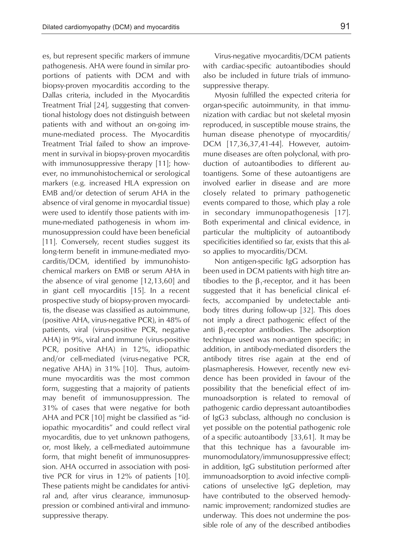es, but represent specific markers of immune pathogenesis. AHA were found in similar proportions of patients with DCM and with biopsy-proven myocarditis according to the Dallas criteria, included in the Myocarditis Treatment Trial [24], suggesting that conventional histology does not distinguish between patients with and without an on-going immune-mediated process. The Myocarditis Treatment Trial failed to show an improvement in survival in biopsy-proven myocarditis with immunosuppressive therapy [11]; however, no immunohistochemical or serological markers (e.g. increased HLA expression on EMB and/or detection of serum AHA in the absence of viral genome in myocardial tissue) were used to identify those patients with immune-mediated pathogenesis in whom immunosuppression could have been beneficial [11]. Conversely, recent studies suggest its long-term benefit in immune-mediated myocarditis/DCM, identified by immunohistochemical markers on EMB or serum AHA in the absence of viral genome [12,13,60] and in giant cell myocarditis [15]. In a recent prospective study of biopsy-proven myocarditis, the disease was classified as autoimmune, (positive AHA, virus-negative PCR), in 48% of patients, viral (virus-positive PCR, negative AHA) in 9%, viral and immune (virus-positive PCR, positive AHA) in 12%, idiopathic and/or cell-mediated (virus-negative PCR, negative AHA) in 31% [10]. Thus, autoimmune myocarditis was the most common form, suggesting that a majority of patients may benefit of immunosuppression. The 31% of cases that were negative for both AHA and PCR [10] might be classified as "idiopathic myocarditis" and could reflect viral myocarditis, due to yet unknown pathogens, or, most likely, a cell-mediated autoimmune form, that might benefit of immunosuppression. AHA occurred in association with positive PCR for virus in 12% of patients [10]. These patients might be candidates for antiviral and, after virus clearance, immunosuppression or combined anti-viral and immunosuppressive therapy.

Virus-negative myocarditis/DCM patients with cardiac-specific autoantibodies should also be included in future trials of immunosuppressive therapy.

Myosin fulfilled the expected criteria for organ-specific autoimmunity, in that immunization with cardiac but not skeletal myosin reproduced, in susceptible mouse strains, the human disease phenotype of myocarditis/ DCM [17,36,37,41-44]. However, autoimmune diseases are often polyclonal, with production of autoantibodies to different autoantigens. Some of these autoantigens are involved earlier in disease and are more closely related to primary pathogenetic events compared to those, which play a role in secondary immunopathogenesis [17]. Both experimental and clinical evidence, in particular the multiplicity of autoantibody specificities identified so far, exists that this also applies to myocarditis/DCM.

Non antigen-specific IgG adsorption has been used in DCM patients with high titre antibodies to the  $β_1$ -receptor, and it has been suggested that it has beneficial clinical effects, accompanied by undetectable antibody titres during follow-up [32]. This does not imply a direct pathogenic effect of the anti β<sub>1</sub>-receptor antibodies. The adsorption technique used was non-antigen specific; in addition, in antibody-mediated disorders the antibody titres rise again at the end of plasmapheresis. However, recently new evidence has been provided in favour of the possibility that the beneficial effect of immunoadsorption is related to removal of pathogenic cardio depressant autoantibodies of IgG3 subclass, although no conclusion is yet possible on the potential pathogenic role of a specific autoantibody [33,61]. It may be that this technique has a favourable immunomodulatory/immunosuppressive effect; in addition, IgG substitution performed after immunoadsorption to avoid infective complications of unselective IgG depletion, may have contributed to the observed hemodynamic improvement; randomized studies are underway. This does not undermine the possible role of any of the described antibodies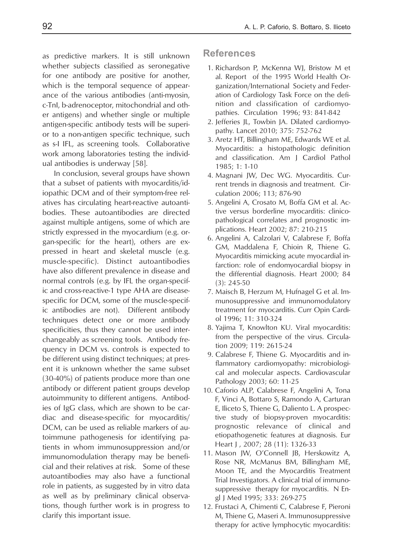as predictive markers. It is still unknown whether subjects classified as seronegative for one antibody are positive for another, which is the temporal sequence of appearance of the various antibodies (anti-myosin, c-TnI, b-adrenoceptor, mitochondrial and other antigens) and whether single or multiple antigen-specific antibody tests will be superior to a non-antigen specific technique, such as s-I IFL, as screening tools. Collaborative work among laboratories testing the individual antibodies is underway [58].

In conclusion, several groups have shown that a subset of patients with myocarditis/idiopathic DCM and of their symptom-free relatives has circulating heart-reactive autoantibodies. These autoantibodies are directed against multiple antigens, some of which are strictly expressed in the myocardium (e.g. organ-specific for the heart), others are expressed in heart and skeletal muscle (e.g. muscle-specific). Distinct autoantibodies have also different prevalence in disease and normal controls (e.g. by IFL the organ-specific and cross-reactive-1 type AHA are diseasespecific for DCM, some of the muscle-specific antibodies are not). Different antibody techniques detect one or more antibody specificities, thus they cannot be used interchangeably as screening tools. Antibody frequency in DCM vs. controls is expected to be different using distinct techniques; at present it is unknown whether the same subset (30-40%) of patients produce more than one antibody or different patient groups develop autoimmunity to different antigens. Antibodies of IgG class, which are shown to be cardiac and disease-specific for myocarditis/ DCM, can be used as reliable markers of autoimmune pathogenesis for identifying patients in whom immunosuppression and/or immunomodulation therapy may be beneficial and their relatives at risk. Some of these autoantibodies may also have a functional role in patients, as suggested by in vitro data as well as by preliminary clinical observations, though further work is in progress to clarify this important issue.

### **References**

- 1. Richardson P, McKenna WJ, Bristow M et al. Report of the 1995 World Health Organization/International Society and Federation of Cardiology Task Force on the definition and classification of cardiomyopathies. Circulation 1996; 93: 841-842
- 2. Jefferies JL, Towbin JA. Dilated cardiomyopathy. Lancet 2010; 375: 752-762
- 3. Aretz HT, Billingham ME, Edwards WE et al. Myocarditis: a histopathologic definition and classification. Am J Cardiol Pathol 1985; 1: 1-10
- 4. Magnani JW, Dec WG. Myocarditis. Current trends in diagnosis and treatment. Circulation 2006; 113; 876-90
- 5. Angelini A, Crosato M, Boffa GM et al. Active versus borderline myocarditis: clinicopathological correlates and prognostic implications. Heart 2002; 87: 210-215
- 6. Angelini A, Calzolari V, Calabrese F, Boffa GM, Maddalena F, Chioin R, Thiene G. Myocarditis mimicking acute myocardial infarction: role of endomyocardial biopsy in the differential diagnosis. Heart 2000; 84 (3): 245-50
- 7. Maisch B, Herzum M, Hufnagel G et al. Immunosuppressive and immunomodulatory treatment for myocarditis. Curr Opin Cardiol 1996; 11: 310-324
- 8. Yajima T, Knowlton KU. Viral myocarditis: from the perspective of the virus. Circulation 2009; 119: 2615-24
- 9. Calabrese F, Thiene G. Myocarditis and inflammatory cardiomyopathy: microbiological and molecular aspects. Cardiovascular Pathology 2003; 60: 11-25
- 10. Caforio ALP, Calabrese F, Angelini A, Tona F, Vinci A, Bottaro S, Ramondo A, Carturan E, Iliceto S, Thiene G, Daliento L. A prospective study of biopsy-proven myocarditis: prognostic relevance of clinical and etiopathogenetic features at diagnosis. Eur Heart J, 2007; 28 (11): 1326-33
- 11. Mason JW, O'Connell JB, Herskowitz A, Rose NR, McManus BM, Billingham ME, Moon TE, and the Myocarditis Treatment Trial Investigators. A clinical trial of immunosuppressive therapy for myocarditis. N Engl J Med 1995; 333: 269-275
- 12. Frustaci A, Chimenti C, Calabrese F, Pieroni M, Thiene G, Maseri A. Immunosuppressive therapy for active lymphocytic myocarditis: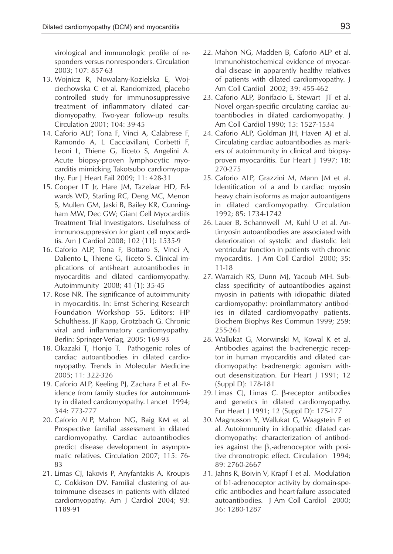virological and immunologic profile of responders versus nonresponders. Circulation 2003; 107: 857-63

- 13. Wojnicz R, Nowalany-Kozielska E, Wojciechowska C et al. Randomized, placebo controlled study for immunosuppressive treatment of inflammatory dilated cardiomyopathy. Two-year follow-up results. Circulation 2001; 104: 39-45
- 14. Caforio ALP, Tona F, Vinci A, Calabrese F, Ramondo A, L Cacciavillani, Corbetti F, Leoni L, Thiene G, Iliceto S, Angelini A. Acute biopsy-proven lymphocytic myocarditis mimicking Takotsubo cardiomyopathy. Eur J Heart Fail 2009; 11: 428-31
- 15. Cooper LT Jr, Hare JM, Tazelaar HD, Edwards WD, Starling RC, Deng MC, Menon S, Mullen GM, Jaski B, Bailey KR, Cunningham MW, Dec GW; Giant Cell Myocarditis Treatment Trial Investigators. Usefulness of immunosuppression for giant cell myocarditis. Am J Cardiol 2008; 102 (11): 1535-9
- 16. Caforio ALP, Tona F, Bottaro S, Vinci A, Daliento L, Thiene G, Iliceto S. Clinical implications of anti-heart autoantibodies in myocarditis and dilated cardiomyopathy. Autoimmunity 2008; 41 (1): 35-45
- 17. Rose NR. The significance of autoimmunity in myocarditis. In: Ernst Schering Research Foundation Workshop 55. Editors: HP Schultheiss, JF Kapp, Grotzbach G. Chronic viral and inflammatory cardiomyopathy. Berlin: Springer-Verlag, 2005: 169-93
- 18. Okazaki T, Honjo T. Pathogenic roles of cardiac autoantibodies in dilated cardiomyopathy. Trends in Molecular Medicine 2005; 11: 322-326
- 19. Caforio ALP, Keeling PJ, Zachara E et al. Evidence from family studies for autoimmunity in dilated cardiomyopathy. Lancet 1994; 344: 773-777
- 20. Caforio ALP, Mahon NG, Baig KM et al. Prospective familial assessment in dilated cardiomyopathy. Cardiac autoantibodies predict disease development in asymptomatic relatives. Circulation 2007; 115: 76- 83
- 21. Limas CJ, Iakovis P, Anyfantakis A, Kroupis C, Cokkison DV. Familial clustering of autoimmune diseases in patients with dilated cardiomyopathy. Am J Cardiol 2004; 93: 1189-91
- 22. Mahon NG, Madden B, Caforio ALP et al. Immunohistochemical evidence of myocardial disease in apparently healthy relatives of patients with dilated cardiomyopathy. J Am Coll Cardiol 2002; 39: 455-462
- 23. Caforio ALP, Bonifacio E, Stewart JT et al. Novel organ-specific circulating cardiac autoantibodies in dilated cardiomyopathy. J Am Coll Cardiol 1990; 15: 1527-1534
- 24. Caforio ALP, Goldman JH, Haven AJ et al. Circulating cardiac autoantibodies as markers of autoimmunity in clinical and biopsyproven myocarditis. Eur Heart J 1997; 18: 270-275
- 25. Caforio ALP, Grazzini M, Mann JM et al. Identification of a and b cardiac myosin heavy chain isoforms as major autoantigens in dilated cardiomyopathy. Circulation 1992; 85: 1734-1742
- 26. Lauer B, Schannwell M, Kuhl U et al. Antimyosin autoantibodies are associated with deterioration of systolic and diastolic left ventricular function in patients with chronic myocarditis. J Am Coll Cardiol 2000; 35: 11-18
- 27. Warraich RS, Dunn MJ, Yacoub MH. Subclass specificity of autoantibodies against myosin in patients with idiopathic dilated cardiomyopathy: proinflammatory antibodies in dilated cardiomyopathy patients. Biochem Biophys Res Commun 1999; 259: 255-261
- 28. Wallukat G, Morwinski M, Kowal K et al. Antibodies against the b-adrenergic receptor in human myocarditis and dilated cardiomyopathy: b-adrenergic agonism without desensitization. Eur Heart J 1991; 12 (Suppl D): 178-181
- 29. Limas CJ, Limas C. β-receptor antibodies and genetics in dilated cardiomyopathy. Eur Heart J 1991; 12 (Suppl D): 175-177
- 30. Magnusson Y, Wallukat G, Waagstein F et al. Autoimmunity in idiopathic dilated cardiomyopathy: characterization of antibodies against the  $β_1$ -adrenoceptor with positive chronotropic effect. Circulation 1994; 89: 2760-2667
- 31. Jahns R, Boivin V, Krapf T et al. Modulation of b1-adrenoceptor activity by domain-specific antibodies and heart-failure associated autoantibodies. J Am Coll Cardiol 2000; 36: 1280-1287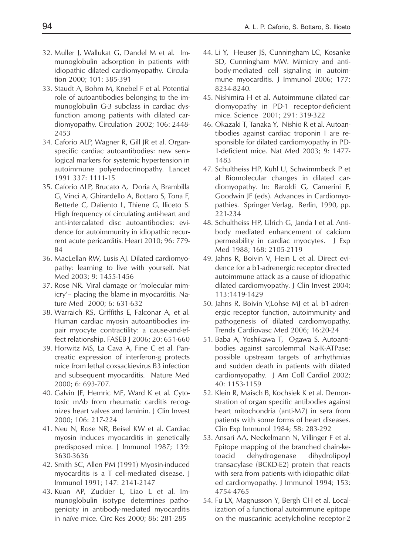- 32. Muller J, Wallukat G, Dandel M et al. Immunoglobulin adsorption in patients with idiopathic dilated cardiomyopathy. Circulation 2000; 101: 385-391
- 33. Staudt A, Bohm M, Knebel F et al. Potential role of autoantibodies belonging to the immunoglobulin G-3 subclass in cardiac dysfunction among patients with dilated cardiomyopathy. Circulation 2002; 106: 2448- 2453
- 34. Caforio ALP, Wagner R, Gill JR et al. Organspecific cardiac autoantibodies: new serological markers for systemic hypertension in autoimmune polyendocrinopathy. Lancet 1991 337: 1111-15
- 35. Caforio ALP, Brucato A, Doria A, Brambilla G, Vinci A, Ghirardello A, Bottaro S, Tona F, Betterle C, Daliento L, Thiene G, Iliceto S. High frequency of circulating anti-heart and anti-intercalated disc autoantibodies: evidence for autoimmunity in idiopathic recurrent acute pericarditis. Heart 2010; 96: 779- 84
- 36. MacLellan RW, Lusis AJ. Dilated cardiomyopathy: learning to live with yourself. Nat Med 2003; 9: 1455-1456
- 37. Rose NR. Viral damage or 'molecular mimicry'– placing the blame in myocarditis. Nature Med 2000; 6: 631-632
- 38. Warraich RS, Griffiths E, Falconar A, et al. Human cardiac myosin autoantibodies impair myocyte contractility: a cause-and-effect relationship. FASEB J 2006; 20: 651-660
- 39. Horwitz MS, La Cava A, Fine C et al. Pancreatic expression of interferon-g protects mice from lethal coxsackievirus B3 infection and subsequent myocarditis. Nature Med 2000; 6: 693-707.
- 40. Galvin JE, Hemric ME, Ward K et al. Cytotoxic mAb from rheumatic carditis recognizes heart valves and laminin. J Clin Invest 2000; 106: 217-224
- 41. Neu N, Rose NR, Beisel KW et al. Cardiac myosin induces myocarditis in genetically predisposed mice. J Immunol 1987; 139: 3630-3636
- 42. Smith SC, Allen PM (1991) Myosin-induced myocarditis is a T cell-mediated disease. J Immunol 1991; 147: 2141-2147
- 43. Kuan AP, Zuckier L, Liao L et al. Immunoglobulin isotype determines pathogenicity in antibody-mediated myocarditis in naïve mice. Circ Res 2000; 86: 281-285
- 44. Li Y, Heuser JS, Cunningham LC, Kosanke SD, Cunningham MW. Mimicry and antibody-mediated cell signaling in autoimmune myocarditis. J Immunol 2006; 177: 8234-8240.
- 45. Nishimira H et al. Autoimmune dilated cardiomyopathy in PD-1 receptor-deficient mice. Science 2001; 291: 319-322
- 46. Okazaki T, Tanaka Y, Nishio R et al. Autoantibodies against cardiac troponin I are responsible for dilated cardiomyopathy in PD-1-deficient mice. Nat Med 2003; 9: 1477- 1483
- 47. Schultheiss HP, Kuhl U, Schwimmbeck P et al Biomolecular changes in dilated cardiomyopathy. In: Baroldi G, Camerini F, Goodwin JF (eds). Advances in Cardiomyopathies. Springer Verlag, Berlin, 1990, pp. 221-234
- 48. Schultheiss HP, Ulrich G, Janda I et al. Antibody mediated enhancement of calcium permeability in cardiac myocytes. J Exp Med 1988; 168: 2105-2119
- 49. Jahns R, Boivin V, Hein L et al. Direct evidence for a b1-adrenergic receptor directed autoimmune attack as a cause of idiopathic dilated cardiomyopathy. J Clin Invest 2004; 113:1419-1429
- 50. Jahns R, Boivin V,Lohse MJ et al. b1-adrenergic receptor function, autoimmunity and pathogenesis of dilated cardiomyopathy. Trends Cardiovasc Med 2006; 16:20-24
- 51. Baba A, Yoshikawa T, Ogawa S. Autoantibodies against sarcolemmal Na-K-ATPase: possible upstream targets of arrhythmias and sudden death in patients with dilated cardiomyopathy. J Am Coll Cardiol 2002; 40: 1153-1159
- 52. Klein R, Maisch B, Kochsiek K et al. Demonstration of organ specific antibodies against heart mitochondria (anti-M7) in sera from patients with some forms of heart diseases. Clin Exp Immunol 1984; 58: 283-292
- 53. Ansari AA, Neckelmann N, Villinger F et al. Epitope mapping of the branched chain-ketoacid dehydrogenase dihydrolipoyl transacylase (BCKD-E2) protein that reacts with sera from patients with idiopathic dilated cardiomyopathy. J Immunol 1994; 153: 4754-4765
- 54. Fu LX, Magnusson Y, Bergh CH et al. Localization of a functional autoimmune epitope on the muscarinic acetylcholine receptor-2